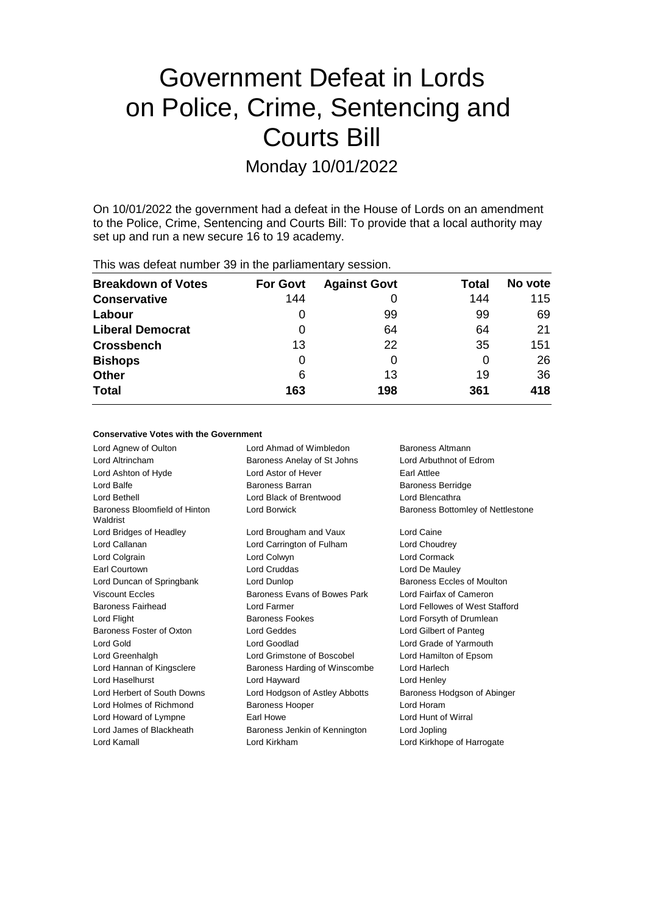# Government Defeat in Lords on Police, Crime, Sentencing and Courts Bill

Monday 10/01/2022

On 10/01/2022 the government had a defeat in the House of Lords on an amendment to the Police, Crime, Sentencing and Courts Bill: To provide that a local authority may set up and run a new secure 16 to 19 academy.

| <b>Breakdown of Votes</b> | <b>For Govt</b> | <b>Against Govt</b> | Total | No vote |
|---------------------------|-----------------|---------------------|-------|---------|
| <b>Conservative</b>       | 144             |                     | 144   | 115     |
| Labour                    | O               | 99                  | 99    | 69      |
| <b>Liberal Democrat</b>   | 0               | 64                  | 64    | 21      |
| <b>Crossbench</b>         | 13              | 22                  | 35    | 151     |
| <b>Bishops</b>            | 0               |                     | 0     | 26      |
| <b>Other</b>              | 6               | 13                  | 19    | 36      |
| <b>Total</b>              | 163             | 198                 | 361   | 418     |
|                           |                 |                     |       |         |

# This was defeat number 39 in the parliamentary session.

#### **Conservative Votes with the Government**

Lord Agnew of Oulton Lord Ahmad of Wimbledon Baroness Altmann Lord Altrincham Baroness Anelay of St Johns Lord Arbuthnot of Edrom Lord Ashton of Hyde **Lord Astor of Hever** Earl Attlee Lord Balfe **Baroness Barran** Baroness Barran Baroness Berridge Lord Bethell Lord Black of Brentwood Lord Blencathra Baroness Bloomfield of Hinton Waldrist Lord Borwick **Baroness Bottomley of Nettlestone** Lord Bridges of Headley Lord Brougham and Vaux Lord Caine Lord Callanan Lord Carrington of Fulham Lord Choudrey Lord Colgrain Lord Colwyn Lord Cormack Earl Courtown Lord Cruddas Lord De Mauley Lord Duncan of Springbank Lord Dunlop Lord Baroness Eccles of Moulton Viscount Eccles **Baroness Evans of Bowes Park** Lord Fairfax of Cameron Baroness Fairhead Lord Farmer Lord Fellowes of West Stafford Lord Flight Baroness Fookes Lord Forsyth of Drumlean Baroness Foster of Oxton Lord Geddes Lord Gilbert of Panteg Lord Gold Lord Goodlad Lord Grade of Yarmouth Lord Greenhalgh Lord Grimstone of Boscobel Lord Hamilton of Epsom Lord Hannan of Kingsclere **Baroness Harding of Winscombe** Lord Harlech Lord Haselhurst Lord Hayward Lord Henley Lord Herbert of South Downs Lord Hodgson of Astley Abbotts Baroness Hodgson of Abinger Lord Holmes of Richmond Baroness Hooper Lord Horam Lord Howard of Lympne Earl Howe Lord Hunt of Wirral Lord James of Blackheath **Baroness Jenkin of Kennington** Lord Jopling Lord Kamall Lord Kirkham Lord Kirkhope of Harrogate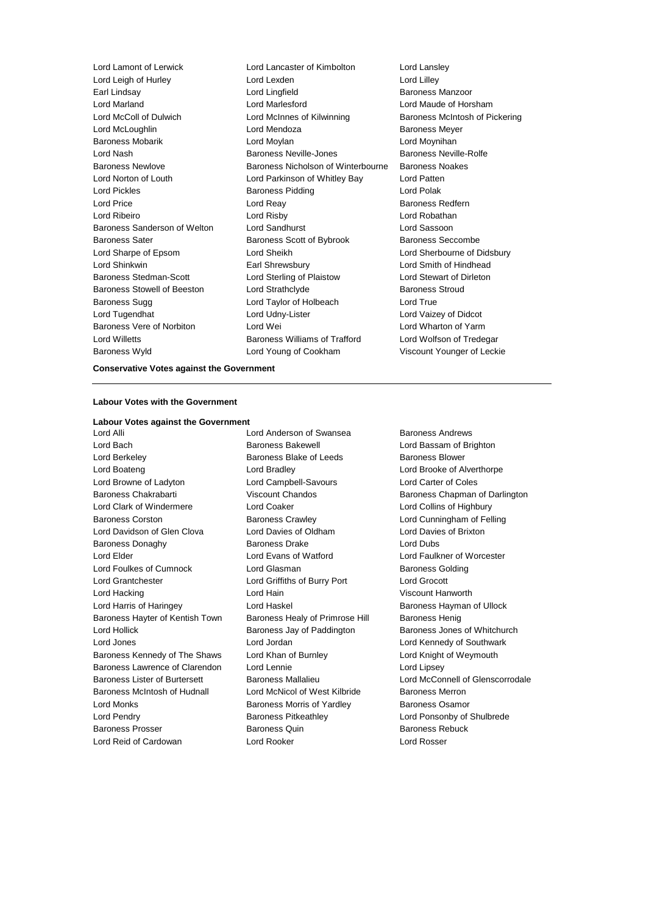Lord Lamont of Lerwick Lord Lancaster of Kimbolton Lord Lansley Lord Leigh of Hurley **Lord Lord Lexden** Lord Lexden Lord Lilley<br>
Lord Lindian Lord Lindfield **Lord Lindfield** Baroness Earl Lindsay Lord Lingfield Baroness Manzoor Lord Marland Lord Marlesford Lord Maude of Horsham Lord McColl of Dulwich Lord McInnes of Kilwinning Baroness McIntosh of Pickering Lord McLoughlin **Communist Construction** Lord Mendoza **Baroness Meyer** Baroness Mobarik Lord Moylan Lord Moynihan Lord Nash Baroness Neville-Jones Baroness Neville-Rolfe Baroness Newlove Baroness Nicholson of Winterbourne Baroness Noakes Lord Norton of Louth Lord Parkinson of Whitley Bay Lord Patten Lord Pickles **Baroness Pidding Lord Polak** Lord Polak Lord Price **Lord Reay Constanting Lord Reay Baroness Redfern** Lord Ribeiro Lord Risby Lord Robathan Baroness Sanderson of Welton Lord Sandhurst Lord Sassoon Baroness Sater **Baroness Scott of Bybrook** Baroness Seccombe Lord Sharpe of Epsom Lord Sheikh Lord Sherbourne of Didsbury Lord Shinkwin Earl Shrewsbury Lord Smith of Hindhead Baroness Stedman-Scott Lord Sterling of Plaistow Lord Stewart of Dirleton Baroness Stowell of Beeston Lord Strathclyde Baroness Stroud Baroness Sugg **Lord Taylor of Holbeach** Lord True Lord Tugendhat Lord Udny-Lister Lord Vaizey of Didcot Baroness Vere of Norbiton **Lord Wei** Lord Wei Lord Wharton of Yarm Lord Willetts Baroness Williams of Trafford Lord Wolfson of Tredegar Baroness Wyld Lord Young of Cookham Viscount Younger of Leckie

#### **Conservative Votes against the Government**

#### **Labour Votes with the Government**

# **Labour Votes against the Government**

Lord Bach Baroness Bakewell Lord Bassam of Brighton Lord Berkeley **Baroness Blake of Leeds** Baroness Blower Lord Boateng **Lord Bradley** Lord Bradley **Lord Brooke of Alverthorpe** Lord Browne of Ladyton Lord Campbell-Savours Lord Carter of Coles Lord Clark of Windermere Lord Coaker Lord Collins of Highbury Baroness Corston Baroness Crawley Lord Cunningham of Felling Lord Davidson of Glen Clova Lord Davies of Oldham Lord Davies of Brixton Baroness Donaghy Baroness Drake Lord Dubs Lord Elder Lord Evans of Watford Lord Faulkner of Worcester Lord Foulkes of Cumnock Lord Glasman Baroness Golding Lord Grantchester Lord Griffiths of Burry Port Lord Grocott Lord Hacking Lord Hain Viscount Hanworth Lord Harris of Haringey **Lord Haskel Communist Communist Communist Communist Communist Communist Communist Communist Communist Communist Communist Communist Communist Communist Communist Communist Communist Communist Commu** Baroness Hayter of Kentish Town Baroness Healy of Primrose Hill Baroness Henig Lord Hollick **Baroness Jay of Paddington** Baroness Jones of Whitchurch Baroness Jones of Whitchurch Lord Jones Lord Jordan Lord Kennedy of Southwark Baroness Kennedy of The Shaws Lord Khan of Burnley Lord Knight of Weymouth Baroness Lawrence of Clarendon Lord Lennie **Lord Lipsey** Lord Lipsey Baroness McIntosh of Hudnall Lord McNicol of West Kilbride Baroness Merron Lord Monks **Baroness Morris of Yardley** Baroness Osamor Lord Pendry Baroness Pitkeathley Lord Ponsonby of Shulbrede Baroness Prosser Baroness Quin Baroness Rebuck

Lord Anderson of Swansea Baroness Andrews Lord Reid of Cardowan Lord Rooker Lord Rosser

Baroness Chakrabarti **Viscount Chandos** Baroness Chapman of Darlington Baroness Lister of Burtersett Baroness Mallalieu Lord McConnell of Glenscorrodale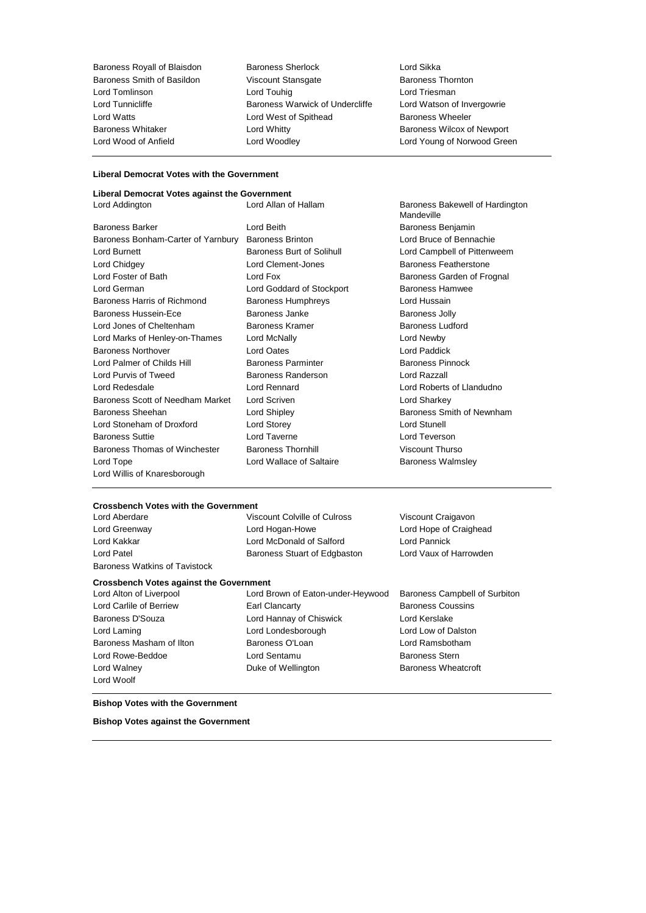Baroness Royall of Blaisdon Baroness Sherlock Lord Sikka Baroness Smith of Basildon **Viscount Stansgate** Baroness Thornton Lord Tomlinson Lord Touhig Lord Triesman Lord Tunnicliffe Baroness Warwick of Undercliffe Lord Watson of Invergowrie Lord Watts **Lord West of Spithead** Baroness Wheeler Baroness Whitaker **Lord Whitty Lord Whitty** Baroness Wilcox of Newport Lord Wood of Anfield Lord Woodley Lord Young of Norwood Green

### **Liberal Democrat Votes with the Government**

#### **Liberal Democrat Votes against the Government**

Baroness Barker **Lord Beith** Lord Beith Baroness Benjamin Baroness Bonham-Carter of Yarnbury Baroness Brinton Lord Bruce of Bennachie Lord Burnett Baroness Burt of Solihull Lord Campbell of Pittenweem Lord Chidgey **Lord Clement-Jones** Baroness Featherstone Lord Foster of Bath **Lord Fox** Lord Fox **Baroness Garden of Frognal** Lord German Lord Goddard of Stockport Baroness Hamwee Baroness Harris of Richmond Baroness Humphreys Cord Hussain Baroness Hussein-Ece **Baroness Janke** Baroness Jolly Lord Jones of Cheltenham Baroness Kramer Baroness Ludford Lord Marks of Henley-on-Thames Lord McNally Lord Newby Baroness Northover Lord Oates Lord Paddick Lord Palmer of Childs Hill **Baroness Parminter** Baroness Parminter Baroness Pinnock Lord Purvis of Tweed Baroness Randerson Lord Razzall Lord Redesdale Lord Rennard Lord Roberts of Llandudno Baroness Scott of Needham Market Lord Scriven Lord Structure Lord Sharkey Baroness Sheehan **Baroness** Sheehan Lord Shipley **Baroness Smith of Newnham** Lord Stoneham of Droxford Lord Storey Lord Stunell Baroness Suttie Lord Taverne Lord Teverson Baroness Thomas of Winchester Baroness Thornhill Viscount Thurso Lord Tope **Lord Wallace of Saltaire** Baroness Walmsley Lord Willis of Knaresborough

Lord Addington **Lord Allan of Hallam** Baroness Bakewell of Hardington **Mandeville** 

#### **Crossbench Votes with the Government**

Lord Aberdare Viscount Colville of Culross Viscount Craigavon Lord Greenway Lord Hogan-Howe Lord Hope of Craighead Lord Kakkar Lord McDonald of Salford Lord Pannick Lord Patel **Baroness Stuart of Edgbaston** Lord Vaux of Harrowden Baroness Watkins of Tavistock

#### **Crossbench Votes against the Government**

- Lord Woolf
- 
- Lord Alton of Liverpool Lord Brown of Eaton-under-Heywood Baroness Campbell of Surbiton Lord Carlile of Berriew **Earl Clancarty** Earl Clancarty **Baroness Coussins** Baroness D'Souza Lord Hannay of Chiswick Lord Kerslake Lord Laming Lord Londesborough Lord Low of Dalston Baroness Masham of Ilton **Baroness O'Loan** Baroness O'Loan Lord Ramsbotham Lord Rowe-Beddoe **Lord Sentamu** Baroness Stern Lord Walney **Duke of Wellington** Baroness Wheatcroft

#### **Bishop Votes with the Government**

**Bishop Votes against the Government**